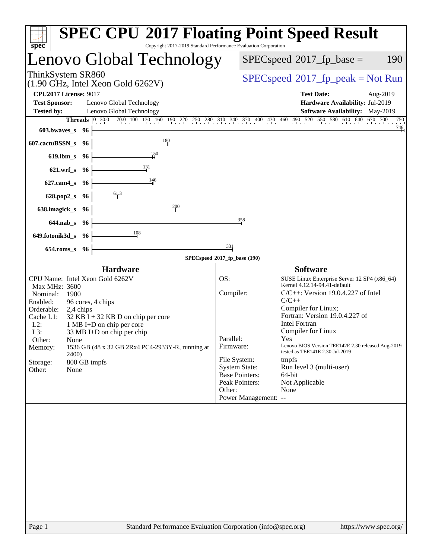| spec <sup>®</sup>                                                                                                                                                                                                                                                                                                                                                                                                                  | <b>SPEC CPU®2017 Floating Point Speed Result</b><br>Copyright 2017-2019 Standard Performance Evaluation Corporation                                                                                                                                                                                                                                                                                                                                                                                                                                                                                    |  |  |  |  |
|------------------------------------------------------------------------------------------------------------------------------------------------------------------------------------------------------------------------------------------------------------------------------------------------------------------------------------------------------------------------------------------------------------------------------------|--------------------------------------------------------------------------------------------------------------------------------------------------------------------------------------------------------------------------------------------------------------------------------------------------------------------------------------------------------------------------------------------------------------------------------------------------------------------------------------------------------------------------------------------------------------------------------------------------------|--|--|--|--|
| Lenovo Global Technology                                                                                                                                                                                                                                                                                                                                                                                                           | 190<br>$SPEC speed^{\circ}2017$ _fp_base =                                                                                                                                                                                                                                                                                                                                                                                                                                                                                                                                                             |  |  |  |  |
| ThinkSystem SR860<br>$(1.90 \text{ GHz}, \text{Intel Xeon Gold } 6262 \text{V})$                                                                                                                                                                                                                                                                                                                                                   | $SPEC speed^{\circ}2017\_fp\_peak = Not Run$                                                                                                                                                                                                                                                                                                                                                                                                                                                                                                                                                           |  |  |  |  |
| <b>CPU2017 License: 9017</b><br><b>Test Sponsor:</b><br>Lenovo Global Technology<br><b>Tested by:</b><br>Lenovo Global Technology                                                                                                                                                                                                                                                                                                  | <b>Test Date:</b><br>Aug-2019<br>Hardware Availability: Jul-2019<br>Software Availability: May-2019                                                                                                                                                                                                                                                                                                                                                                                                                                                                                                    |  |  |  |  |
| <b>Threads</b><br>603.bwaves_s<br>96                                                                                                                                                                                                                                                                                                                                                                                               | $\begin{bmatrix} 0 & 30.0 & 70.0 & 100 & 130 & 160 & 190 & 220 & 250 & 280 & 310 & 340 & 370 & 400 & 430 & 460 & 490 & 520 & 550 & 580 & 610 & 640 & 670 & 700 \end{bmatrix}$<br>750<br>$\frac{746}{4}$                                                                                                                                                                                                                                                                                                                                                                                                |  |  |  |  |
| 180<br>607.cactuBSSN_s<br>96<br>150<br>$619$ .lbm_s<br>- 96                                                                                                                                                                                                                                                                                                                                                                        |                                                                                                                                                                                                                                                                                                                                                                                                                                                                                                                                                                                                        |  |  |  |  |
| 131<br>$621.wrf$ <sub>S</sub><br>- 96                                                                                                                                                                                                                                                                                                                                                                                              |                                                                                                                                                                                                                                                                                                                                                                                                                                                                                                                                                                                                        |  |  |  |  |
| 146<br>$627$ .cam $4_s$<br>96                                                                                                                                                                                                                                                                                                                                                                                                      |                                                                                                                                                                                                                                                                                                                                                                                                                                                                                                                                                                                                        |  |  |  |  |
| 61.3<br>628.pop2_s<br>96<br>200<br>638.imagick_s<br>- 96                                                                                                                                                                                                                                                                                                                                                                           |                                                                                                                                                                                                                                                                                                                                                                                                                                                                                                                                                                                                        |  |  |  |  |
| $644$ .nab s<br>96                                                                                                                                                                                                                                                                                                                                                                                                                 | 358                                                                                                                                                                                                                                                                                                                                                                                                                                                                                                                                                                                                    |  |  |  |  |
| 108<br>649.fotonik3d_s 96                                                                                                                                                                                                                                                                                                                                                                                                          |                                                                                                                                                                                                                                                                                                                                                                                                                                                                                                                                                                                                        |  |  |  |  |
| $654$ .roms_s<br>96                                                                                                                                                                                                                                                                                                                                                                                                                | 331<br>SPECspeed®2017_fp_base (190)                                                                                                                                                                                                                                                                                                                                                                                                                                                                                                                                                                    |  |  |  |  |
| <b>Hardware</b><br>CPU Name: Intel Xeon Gold 6262V<br>Max MHz: 3600<br>Nominal:<br>1900<br>Enabled:<br>96 cores, 4 chips<br>Orderable:<br>2,4 chips<br>Cache L1:<br>$32$ KB I + 32 KB D on chip per core<br>$L2$ :<br>1 MB I+D on chip per core<br>33 MB I+D on chip per chip<br>L3:<br>Other:<br>None<br>1536 GB (48 x 32 GB 2Rx4 PC4-2933Y-R, running at<br>Memory:<br><b>2400</b><br>800 GB tmpfs<br>Storage:<br>Other:<br>None | <b>Software</b><br>OS:<br>SUSE Linux Enterprise Server 12 SP4 (x86_64)<br>Kernel 4.12.14-94.41-default<br>Compiler:<br>$C/C++$ : Version 19.0.4.227 of Intel<br>$C/C++$<br>Compiler for Linux;<br>Fortran: Version 19.0.4.227 of<br><b>Intel Fortran</b><br>Compiler for Linux<br>Parallel:<br>Yes<br>Lenovo BIOS Version TEE142E 2.30 released Aug-2019<br>Firmware:<br>tested as TEE141E 2.30 Jul-2019<br>File System:<br>tmpfs<br><b>System State:</b><br>Run level 3 (multi-user)<br><b>Base Pointers:</b><br>64-bit<br>Peak Pointers:<br>Not Applicable<br>Other:<br>None<br>Power Management: -- |  |  |  |  |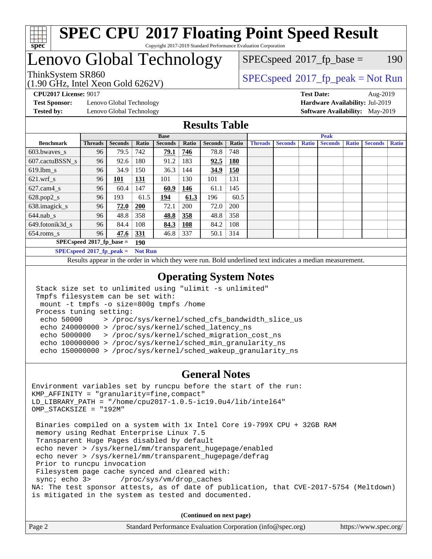

#### **[SPEC CPU](http://www.spec.org/auto/cpu2017/Docs/result-fields.html#SPECCPU2017FloatingPointSpeedResult)[2017 Floating Point Speed Result](http://www.spec.org/auto/cpu2017/Docs/result-fields.html#SPECCPU2017FloatingPointSpeedResult)** Copyright 2017-2019 Standard Performance Evaluation Corporation

# Lenovo Global Technology

(1.90 GHz, Intel Xeon Gold 6262V)

ThinkSystem SR860<br>(1.00 GHz, Intel Year Gold 6262V) [SPECspeed](http://www.spec.org/auto/cpu2017/Docs/result-fields.html#SPECspeed2017fppeak)®[2017\\_fp\\_peak = N](http://www.spec.org/auto/cpu2017/Docs/result-fields.html#SPECspeed2017fppeak)ot Run  $SPECspeed^{\circledcirc}2017_fp\_base = 190$  $SPECspeed^{\circledcirc}2017_fp\_base = 190$ 

**[Test Sponsor:](http://www.spec.org/auto/cpu2017/Docs/result-fields.html#TestSponsor)** Lenovo Global Technology **[Hardware Availability:](http://www.spec.org/auto/cpu2017/Docs/result-fields.html#HardwareAvailability)** Jul-2019 **[Tested by:](http://www.spec.org/auto/cpu2017/Docs/result-fields.html#Testedby)** Lenovo Global Technology **[Software Availability:](http://www.spec.org/auto/cpu2017/Docs/result-fields.html#SoftwareAvailability)** May-2019

**[CPU2017 License:](http://www.spec.org/auto/cpu2017/Docs/result-fields.html#CPU2017License)** 9017 **[Test Date:](http://www.spec.org/auto/cpu2017/Docs/result-fields.html#TestDate)** Aug-2019

### **[Results Table](http://www.spec.org/auto/cpu2017/Docs/result-fields.html#ResultsTable)**

|                             | <b>Base</b>    |                |                |                |            | <b>Peak</b>    |            |                |                |              |                |              |                |              |
|-----------------------------|----------------|----------------|----------------|----------------|------------|----------------|------------|----------------|----------------|--------------|----------------|--------------|----------------|--------------|
| <b>Benchmark</b>            | <b>Threads</b> | <b>Seconds</b> | Ratio          | <b>Seconds</b> | Ratio      | <b>Seconds</b> | Ratio      | <b>Threads</b> | <b>Seconds</b> | <b>Ratio</b> | <b>Seconds</b> | <b>Ratio</b> | <b>Seconds</b> | <b>Ratio</b> |
| 603.bwayes s                | 96             | 79.5           | 742            | 79.1           | 746        | 78.8           | 748        |                |                |              |                |              |                |              |
| 607.cactuBSSN s             | 96             | 92.6           | 180            | 91.2           | 183        | 92.5           | <b>180</b> |                |                |              |                |              |                |              |
| $619.1$ bm s                | 96             | 34.9           | 150            | 36.3           | 144        | 34.9           | <b>150</b> |                |                |              |                |              |                |              |
| $621.wrf$ s                 | 96             | <u> 101</u>    | <u>131</u>     | 101            | 130        | 101            | 131        |                |                |              |                |              |                |              |
| $627$ .cam4 s               | 96             | 60.4           | 147            | 60.9           | 146        | 61.1           | 145        |                |                |              |                |              |                |              |
| $628.pop2_s$                | 96             | 193            | 61.5           | 194            | 61.3       | 196            | 60.5       |                |                |              |                |              |                |              |
| 638.imagick_s               | 96             | 72.0           | <b>200</b>     | 72.1           | 200        | 72.0           | <b>200</b> |                |                |              |                |              |                |              |
| $644$ .nab s                | 96             | 48.8           | 358            | 48.8           | 358        | 48.8           | 358        |                |                |              |                |              |                |              |
| 649.fotonik3d s             | 96             | 84.4           | 108            | 84.3           | <b>108</b> | 84.2           | 108        |                |                |              |                |              |                |              |
| $654$ .roms s               | 96             | 47.6           | 331            | 46.8           | 337        | 50.1           | 314        |                |                |              |                |              |                |              |
| $SPECspeed*2017_fp\_base =$ |                |                | 190            |                |            |                |            |                |                |              |                |              |                |              |
| $SPECspeed*2017_fp\_peak =$ |                |                | <b>Not Run</b> |                |            |                |            |                |                |              |                |              |                |              |

Results appear in the [order in which they were run.](http://www.spec.org/auto/cpu2017/Docs/result-fields.html#RunOrder) Bold underlined text [indicates a median measurement](http://www.spec.org/auto/cpu2017/Docs/result-fields.html#Median).

#### **[Operating System Notes](http://www.spec.org/auto/cpu2017/Docs/result-fields.html#OperatingSystemNotes)**

```
 Stack size set to unlimited using "ulimit -s unlimited"
Tmpfs filesystem can be set with:
mount -t tmpfs -o size=800g tmpfs /home
Process tuning setting:
 echo 50000 > /proc/sys/kernel/sched_cfs_bandwidth_slice_us
 echo 240000000 > /proc/sys/kernel/sched_latency_ns
 echo 5000000 > /proc/sys/kernel/sched_migration_cost_ns
 echo 100000000 > /proc/sys/kernel/sched_min_granularity_ns
 echo 150000000 > /proc/sys/kernel/sched_wakeup_granularity_ns
```
#### **[General Notes](http://www.spec.org/auto/cpu2017/Docs/result-fields.html#GeneralNotes)**

Environment variables set by runcpu before the start of the run: KMP\_AFFINITY = "granularity=fine,compact" LD\_LIBRARY\_PATH = "/home/cpu2017-1.0.5-ic19.0u4/lib/intel64" OMP\_STACKSIZE = "192M" Binaries compiled on a system with 1x Intel Core i9-799X CPU + 32GB RAM memory using Redhat Enterprise Linux 7.5 Transparent Huge Pages disabled by default echo never > /sys/kernel/mm/transparent\_hugepage/enabled echo never > /sys/kernel/mm/transparent\_hugepage/defrag Prior to runcpu invocation Filesystem page cache synced and cleared with:<br>sync; echo 3> /proc/sys/vm/drop\_caches /proc/sys/vm/drop\_caches NA: The test sponsor attests, as of date of publication, that CVE-2017-5754 (Meltdown) is mitigated in the system as tested and documented.

**(Continued on next page)**

|  | Page 2 | Standard Performance Evaluation Corporation (info@spec.org) | https://www.spec.org/ |
|--|--------|-------------------------------------------------------------|-----------------------|
|--|--------|-------------------------------------------------------------|-----------------------|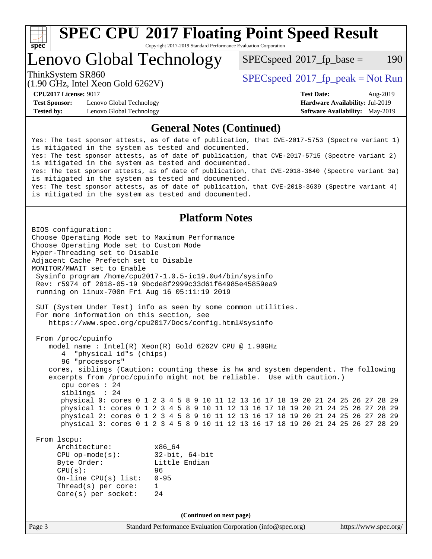

Copyright 2017-2019 Standard Performance Evaluation Corporation

Lenovo Global Technology

 $SPECspeed^{\circ}2017\_fp\_base = 190$  $SPECspeed^{\circ}2017\_fp\_base = 190$ 

(1.90 GHz, Intel Xeon Gold 6262V)

ThinkSystem SR860<br>(1.00 CHz, Intel Year Gald 6262V) [SPECspeed](http://www.spec.org/auto/cpu2017/Docs/result-fields.html#SPECspeed2017fppeak)<sup>®</sup>[2017\\_fp\\_peak = N](http://www.spec.org/auto/cpu2017/Docs/result-fields.html#SPECspeed2017fppeak)ot Run

**[Test Sponsor:](http://www.spec.org/auto/cpu2017/Docs/result-fields.html#TestSponsor)** Lenovo Global Technology **[Hardware Availability:](http://www.spec.org/auto/cpu2017/Docs/result-fields.html#HardwareAvailability)** Jul-2019 **[Tested by:](http://www.spec.org/auto/cpu2017/Docs/result-fields.html#Testedby)** Lenovo Global Technology **[Software Availability:](http://www.spec.org/auto/cpu2017/Docs/result-fields.html#SoftwareAvailability)** May-2019

**[CPU2017 License:](http://www.spec.org/auto/cpu2017/Docs/result-fields.html#CPU2017License)** 9017 **[Test Date:](http://www.spec.org/auto/cpu2017/Docs/result-fields.html#TestDate)** Aug-2019

#### **[General Notes \(Continued\)](http://www.spec.org/auto/cpu2017/Docs/result-fields.html#GeneralNotes)**

Yes: The test sponsor attests, as of date of publication, that CVE-2017-5753 (Spectre variant 1) is mitigated in the system as tested and documented. Yes: The test sponsor attests, as of date of publication, that CVE-2017-5715 (Spectre variant 2) is mitigated in the system as tested and documented. Yes: The test sponsor attests, as of date of publication, that CVE-2018-3640 (Spectre variant 3a) is mitigated in the system as tested and documented. Yes: The test sponsor attests, as of date of publication, that CVE-2018-3639 (Spectre variant 4) is mitigated in the system as tested and documented.

### **[Platform Notes](http://www.spec.org/auto/cpu2017/Docs/result-fields.html#PlatformNotes)**

Page 3 Standard Performance Evaluation Corporation [\(info@spec.org\)](mailto:info@spec.org) <https://www.spec.org/> BIOS configuration: Choose Operating Mode set to Maximum Performance Choose Operating Mode set to Custom Mode Hyper-Threading set to Disable Adjacent Cache Prefetch set to Disable MONITOR/MWAIT set to Enable Sysinfo program /home/cpu2017-1.0.5-ic19.0u4/bin/sysinfo Rev: r5974 of 2018-05-19 9bcde8f2999c33d61f64985e45859ea9 running on linux-700n Fri Aug 16 05:11:19 2019 SUT (System Under Test) info as seen by some common utilities. For more information on this section, see <https://www.spec.org/cpu2017/Docs/config.html#sysinfo> From /proc/cpuinfo model name : Intel(R) Xeon(R) Gold 6262V CPU @ 1.90GHz 4 "physical id"s (chips) 96 "processors" cores, siblings (Caution: counting these is hw and system dependent. The following excerpts from /proc/cpuinfo might not be reliable. Use with caution.) cpu cores : 24 siblings : 24 physical 0: cores 0 1 2 3 4 5 8 9 10 11 12 13 16 17 18 19 20 21 24 25 26 27 28 29 physical 1: cores 0 1 2 3 4 5 8 9 10 11 12 13 16 17 18 19 20 21 24 25 26 27 28 29 physical 2: cores 0 1 2 3 4 5 8 9 10 11 12 13 16 17 18 19 20 21 24 25 26 27 28 29 physical 3: cores 0 1 2 3 4 5 8 9 10 11 12 13 16 17 18 19 20 21 24 25 26 27 28 29 From lscpu: Architecture: x86\_64 CPU op-mode(s): 32-bit, 64-bit Byte Order: Little Endian CPU(s): 96 On-line CPU(s) list: 0-95 Thread(s) per core: 1 Core(s) per socket: 24 **(Continued on next page)**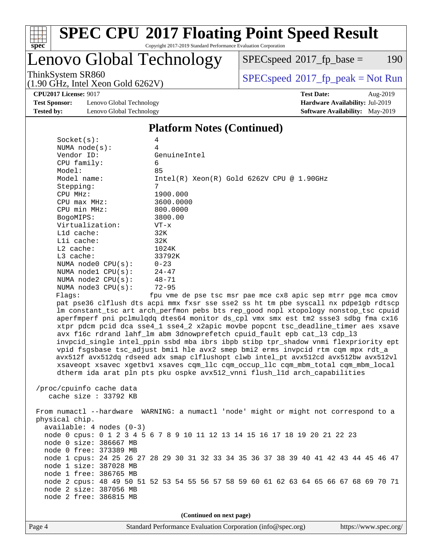

#### **[SPEC CPU](http://www.spec.org/auto/cpu2017/Docs/result-fields.html#SPECCPU2017FloatingPointSpeedResult)[2017 Floating Point Speed Result](http://www.spec.org/auto/cpu2017/Docs/result-fields.html#SPECCPU2017FloatingPointSpeedResult)** Copyright 2017-2019 Standard Performance Evaluation Corporation

# Lenovo Global Technology

 $SPECspeed^{\circledcirc}2017_fp\_base = 190$  $SPECspeed^{\circledcirc}2017_fp\_base = 190$ 

ThinkSystem SR860<br>(1.00 GHz, Intel Year Gold 6262V) [SPECspeed](http://www.spec.org/auto/cpu2017/Docs/result-fields.html#SPECspeed2017fppeak)®[2017\\_fp\\_peak = N](http://www.spec.org/auto/cpu2017/Docs/result-fields.html#SPECspeed2017fppeak)ot Run

**[CPU2017 License:](http://www.spec.org/auto/cpu2017/Docs/result-fields.html#CPU2017License)** 9017 **[Test Date:](http://www.spec.org/auto/cpu2017/Docs/result-fields.html#TestDate)** Aug-2019

**[Test Sponsor:](http://www.spec.org/auto/cpu2017/Docs/result-fields.html#TestSponsor)** Lenovo Global Technology **[Hardware Availability:](http://www.spec.org/auto/cpu2017/Docs/result-fields.html#HardwareAvailability)** Jul-2019 **[Tested by:](http://www.spec.org/auto/cpu2017/Docs/result-fields.html#Testedby)** Lenovo Global Technology **[Software Availability:](http://www.spec.org/auto/cpu2017/Docs/result-fields.html#SoftwareAvailability)** May-2019

(1.90 GHz, Intel Xeon Gold 6262V)

### **[Platform Notes \(Continued\)](http://www.spec.org/auto/cpu2017/Docs/result-fields.html#PlatformNotes)**

| Socket(s):               | 4                                                                                    |
|--------------------------|--------------------------------------------------------------------------------------|
| NUMA $node(s)$ :         | 4                                                                                    |
| Vendor ID:               | GenuineIntel                                                                         |
| CPU family:              | 6                                                                                    |
| Model:                   | 85                                                                                   |
| Model name:              | $Intel(R)$ Xeon $(R)$ Gold 6262V CPU @ 1.90GHz                                       |
| Stepping:                | 7                                                                                    |
| CPU MHz:                 | 1900.000                                                                             |
| $CPU$ $max$ $MHz$ :      | 3600.0000                                                                            |
| CPU min MHz:             | 800.0000                                                                             |
| BogoMIPS:                | 3800.00                                                                              |
| Virtualization:          | $VT - x$                                                                             |
| Lld cache:               | 32K                                                                                  |
| Lli cache:               | 32K                                                                                  |
| L2 cache:                | 1024K                                                                                |
| L3 cache:                | 33792K                                                                               |
| NUMA $node0$ $CPU(s):$   | $0 - 23$                                                                             |
| NUMA nodel CPU(s):       | $24 - 47$                                                                            |
| NUMA node2 CPU(s):       | $48 - 71$                                                                            |
| NUMA node3 CPU(s):       | $72 - 95$                                                                            |
| Flaqs:                   | fpu vme de pse tsc msr pae mce cx8 apic sep mtrr pqe mca cmov                        |
|                          | pat pse36 clflush dts acpi mmx fxsr sse sse2 ss ht tm pbe syscall nx pdpe1gb rdtscp  |
|                          | Im constant_tsc art arch_perfmon pebs bts rep_good nopl xtopology nonstop_tsc cpuid  |
|                          | aperfmperf pni pclmulqdq dtes64 monitor ds_cpl vmx smx est tm2 ssse3 sdbg fma cx16   |
|                          | xtpr pdcm pcid dca sse4_1 sse4_2 x2apic movbe popcnt tsc_deadline_timer aes xsave    |
|                          | avx f16c rdrand lahf_lm abm 3dnowprefetch cpuid_fault epb cat_13 cdp_13              |
|                          | invpcid_single intel_ppin ssbd mba ibrs ibpb stibp tpr_shadow vnmi flexpriority ept  |
|                          | vpid fsgsbase tsc_adjust bmil hle avx2 smep bmi2 erms invpcid rtm cqm mpx rdt_a      |
|                          | avx512f avx512dq rdseed adx smap clflushopt clwb intel pt avx512cd avx512bw avx512vl |
|                          | xsaveopt xsavec xqetbvl xsaves cqm llc cqm occup llc cqm mbm total cqm mbm local     |
|                          | dtherm ida arat pln pts pku ospke avx512_vnni flush_lld arch_capabilities            |
|                          |                                                                                      |
| /proc/cpuinfo cache data |                                                                                      |
| cache size : $33792$ KB  |                                                                                      |
|                          | From numactl --hardware WARNING: a numactl 'node' might or might not correspond to a |
|                          |                                                                                      |

 physical chip. available: 4 nodes (0-3) node 0 cpus: 0 1 2 3 4 5 6 7 8 9 10 11 12 13 14 15 16 17 18 19 20 21 22 23 node 0 size: 386667 MB node 0 free: 373389 MB node 1 cpus: 24 25 26 27 28 29 30 31 32 33 34 35 36 37 38 39 40 41 42 43 44 45 46 47 node 1 size: 387028 MB node 1 free: 386765 MB node 2 cpus: 48 49 50 51 52 53 54 55 56 57 58 59 60 61 62 63 64 65 66 67 68 69 70 71 node 2 size: 387056 MB node 2 free: 386815 MB

**(Continued on next page)**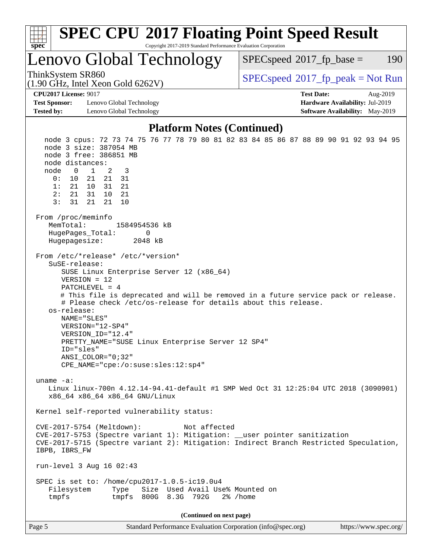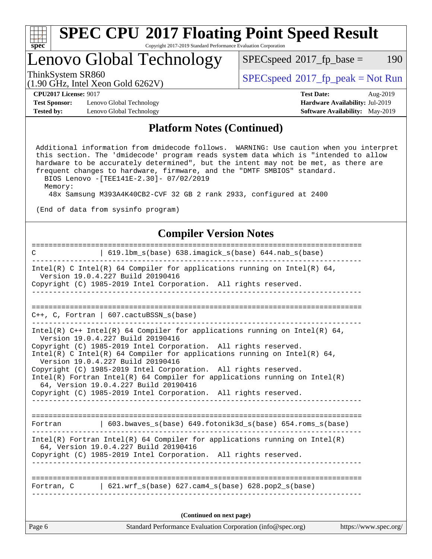| ч<br>e<br>ı.<br>c |  |  |  |  |  |
|-------------------|--|--|--|--|--|

Copyright 2017-2019 Standard Performance Evaluation Corporation

## Lenovo Global Technology

 $SPECspeed^{\circledcirc}2017_fp\_base = 190$  $SPECspeed^{\circledcirc}2017_fp\_base = 190$ 

(1.90 GHz, Intel Xeon Gold 6262V)

ThinkSystem SR860<br>(1.00 GHz, Intel Year Gold 6262V) [SPECspeed](http://www.spec.org/auto/cpu2017/Docs/result-fields.html#SPECspeed2017fppeak)®[2017\\_fp\\_peak = N](http://www.spec.org/auto/cpu2017/Docs/result-fields.html#SPECspeed2017fppeak)ot Run

**[Test Sponsor:](http://www.spec.org/auto/cpu2017/Docs/result-fields.html#TestSponsor)** Lenovo Global Technology **[Hardware Availability:](http://www.spec.org/auto/cpu2017/Docs/result-fields.html#HardwareAvailability)** Jul-2019 **[Tested by:](http://www.spec.org/auto/cpu2017/Docs/result-fields.html#Testedby)** Lenovo Global Technology **[Software Availability:](http://www.spec.org/auto/cpu2017/Docs/result-fields.html#SoftwareAvailability)** May-2019

**[CPU2017 License:](http://www.spec.org/auto/cpu2017/Docs/result-fields.html#CPU2017License)** 9017 **[Test Date:](http://www.spec.org/auto/cpu2017/Docs/result-fields.html#TestDate)** Aug-2019

#### **[Platform Notes \(Continued\)](http://www.spec.org/auto/cpu2017/Docs/result-fields.html#PlatformNotes)**

 Additional information from dmidecode follows. WARNING: Use caution when you interpret this section. The 'dmidecode' program reads system data which is "intended to allow hardware to be accurately determined", but the intent may not be met, as there are frequent changes to hardware, firmware, and the "DMTF SMBIOS" standard. BIOS Lenovo -[TEE141E-2.30]- 07/02/2019

Memory:

48x Samsung M393A4K40CB2-CVF 32 GB 2 rank 2933, configured at 2400

(End of data from sysinfo program)

#### **[Compiler Version Notes](http://www.spec.org/auto/cpu2017/Docs/result-fields.html#CompilerVersionNotes)**

| Standard Performance Evaluation Corporation (info@spec.org)<br>Page 6                                                                           | https://www.spec.org/ |
|-------------------------------------------------------------------------------------------------------------------------------------------------|-----------------------|
| (Continued on next page)                                                                                                                        |                       |
| Fortran, $C = \begin{bmatrix} 621. wrf_s(base) & 627. cam4_s(base) & 628. pop2_s(base) \end{bmatrix}$                                           |                       |
|                                                                                                                                                 |                       |
| 64, Version 19.0.4.227 Build 20190416<br>Copyright (C) 1985-2019 Intel Corporation. All rights reserved.                                        |                       |
| $Intel(R)$ Fortran Intel(R) 64 Compiler for applications running on Intel(R)                                                                    |                       |
| Fortran   603.bwaves_s(base) 649.fotonik3d_s(base) 654.roms_s(base)                                                                             |                       |
| Copyright (C) 1985-2019 Intel Corporation. All rights reserved.                                                                                 |                       |
| 64, Version 19.0.4.227 Build 20190416                                                                                                           |                       |
| Copyright (C) 1985-2019 Intel Corporation. All rights reserved.<br>Intel(R) Fortran Intel(R) 64 Compiler for applications running on $Intel(R)$ |                       |
| Version 19.0.4.227 Build 20190416                                                                                                               |                       |
| Copyright (C) 1985-2019 Intel Corporation. All rights reserved.<br>Intel(R) C Intel(R) 64 Compiler for applications running on Intel(R) 64,     |                       |
| Intel(R) $C++$ Intel(R) 64 Compiler for applications running on Intel(R) 64,<br>Version 19.0.4.227 Build 20190416                               |                       |
| $C_{++}$ , C, Fortran   607.cactuBSSN_s(base)                                                                                                   |                       |
|                                                                                                                                                 |                       |
| _ _ _ _ _ _ _ _ _ _ _                                                                                                                           |                       |
| Version 19.0.4.227 Build 20190416<br>Copyright (C) 1985-2019 Intel Corporation. All rights reserved.                                            |                       |
| Intel(R) C Intel(R) 64 Compiler for applications running on Intel(R) 64,                                                                        |                       |
| 619.1bm_s(base) 638.imagick_s(base) 644.nab_s(base)<br>$\mathbf C$                                                                              |                       |
|                                                                                                                                                 |                       |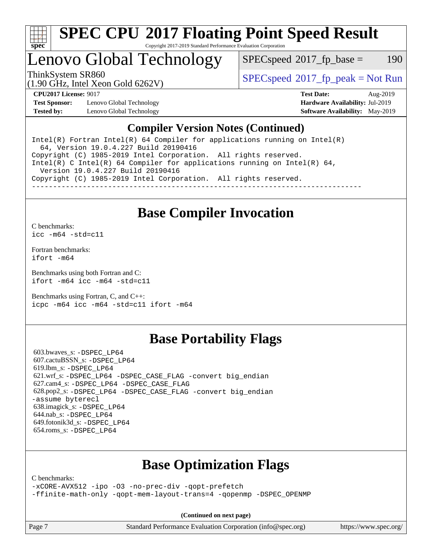

Copyright 2017-2019 Standard Performance Evaluation Corporation

# Lenovo Global Technology

 $SPEC speed^{\circ}2017\_fp\_base = 190$ 

(1.90 GHz, Intel Xeon Gold 6262V)

ThinkSystem SR860<br>(1.00 CHz, Intel Year Gald 6262V) [SPECspeed](http://www.spec.org/auto/cpu2017/Docs/result-fields.html#SPECspeed2017fppeak)<sup>®</sup>[2017\\_fp\\_peak = N](http://www.spec.org/auto/cpu2017/Docs/result-fields.html#SPECspeed2017fppeak)ot Run

**[Test Sponsor:](http://www.spec.org/auto/cpu2017/Docs/result-fields.html#TestSponsor)** Lenovo Global Technology **[Hardware Availability:](http://www.spec.org/auto/cpu2017/Docs/result-fields.html#HardwareAvailability)** Jul-2019 **[Tested by:](http://www.spec.org/auto/cpu2017/Docs/result-fields.html#Testedby)** Lenovo Global Technology **[Software Availability:](http://www.spec.org/auto/cpu2017/Docs/result-fields.html#SoftwareAvailability)** May-2019

**[CPU2017 License:](http://www.spec.org/auto/cpu2017/Docs/result-fields.html#CPU2017License)** 9017 **[Test Date:](http://www.spec.org/auto/cpu2017/Docs/result-fields.html#TestDate)** Aug-2019

### **[Compiler Version Notes \(Continued\)](http://www.spec.org/auto/cpu2017/Docs/result-fields.html#CompilerVersionNotes)**

Intel(R) Fortran Intel(R)  $64$  Compiler for applications running on Intel(R) 64, Version 19.0.4.227 Build 20190416 Copyright (C) 1985-2019 Intel Corporation. All rights reserved. Intel(R) C Intel(R) 64 Compiler for applications running on Intel(R) 64, Version 19.0.4.227 Build 20190416 Copyright (C) 1985-2019 Intel Corporation. All rights reserved. ------------------------------------------------------------------------------

## **[Base Compiler Invocation](http://www.spec.org/auto/cpu2017/Docs/result-fields.html#BaseCompilerInvocation)**

[C benchmarks](http://www.spec.org/auto/cpu2017/Docs/result-fields.html#Cbenchmarks):

[icc -m64 -std=c11](http://www.spec.org/cpu2017/results/res2019q3/cpu2017-20190902-17503.flags.html#user_CCbase_intel_icc_64bit_c11_33ee0cdaae7deeeab2a9725423ba97205ce30f63b9926c2519791662299b76a0318f32ddfffdc46587804de3178b4f9328c46fa7c2b0cd779d7a61945c91cd35)

[Fortran benchmarks](http://www.spec.org/auto/cpu2017/Docs/result-fields.html#Fortranbenchmarks): [ifort -m64](http://www.spec.org/cpu2017/results/res2019q3/cpu2017-20190902-17503.flags.html#user_FCbase_intel_ifort_64bit_24f2bb282fbaeffd6157abe4f878425411749daecae9a33200eee2bee2fe76f3b89351d69a8130dd5949958ce389cf37ff59a95e7a40d588e8d3a57e0c3fd751)

[Benchmarks using both Fortran and C](http://www.spec.org/auto/cpu2017/Docs/result-fields.html#BenchmarksusingbothFortranandC): [ifort -m64](http://www.spec.org/cpu2017/results/res2019q3/cpu2017-20190902-17503.flags.html#user_CC_FCbase_intel_ifort_64bit_24f2bb282fbaeffd6157abe4f878425411749daecae9a33200eee2bee2fe76f3b89351d69a8130dd5949958ce389cf37ff59a95e7a40d588e8d3a57e0c3fd751) [icc -m64 -std=c11](http://www.spec.org/cpu2017/results/res2019q3/cpu2017-20190902-17503.flags.html#user_CC_FCbase_intel_icc_64bit_c11_33ee0cdaae7deeeab2a9725423ba97205ce30f63b9926c2519791662299b76a0318f32ddfffdc46587804de3178b4f9328c46fa7c2b0cd779d7a61945c91cd35)

[Benchmarks using Fortran, C, and C++:](http://www.spec.org/auto/cpu2017/Docs/result-fields.html#BenchmarksusingFortranCandCXX) [icpc -m64](http://www.spec.org/cpu2017/results/res2019q3/cpu2017-20190902-17503.flags.html#user_CC_CXX_FCbase_intel_icpc_64bit_4ecb2543ae3f1412ef961e0650ca070fec7b7afdcd6ed48761b84423119d1bf6bdf5cad15b44d48e7256388bc77273b966e5eb805aefd121eb22e9299b2ec9d9) [icc -m64 -std=c11](http://www.spec.org/cpu2017/results/res2019q3/cpu2017-20190902-17503.flags.html#user_CC_CXX_FCbase_intel_icc_64bit_c11_33ee0cdaae7deeeab2a9725423ba97205ce30f63b9926c2519791662299b76a0318f32ddfffdc46587804de3178b4f9328c46fa7c2b0cd779d7a61945c91cd35) [ifort -m64](http://www.spec.org/cpu2017/results/res2019q3/cpu2017-20190902-17503.flags.html#user_CC_CXX_FCbase_intel_ifort_64bit_24f2bb282fbaeffd6157abe4f878425411749daecae9a33200eee2bee2fe76f3b89351d69a8130dd5949958ce389cf37ff59a95e7a40d588e8d3a57e0c3fd751)

## **[Base Portability Flags](http://www.spec.org/auto/cpu2017/Docs/result-fields.html#BasePortabilityFlags)**

 603.bwaves\_s: [-DSPEC\\_LP64](http://www.spec.org/cpu2017/results/res2019q3/cpu2017-20190902-17503.flags.html#suite_basePORTABILITY603_bwaves_s_DSPEC_LP64) 607.cactuBSSN\_s: [-DSPEC\\_LP64](http://www.spec.org/cpu2017/results/res2019q3/cpu2017-20190902-17503.flags.html#suite_basePORTABILITY607_cactuBSSN_s_DSPEC_LP64) 619.lbm\_s: [-DSPEC\\_LP64](http://www.spec.org/cpu2017/results/res2019q3/cpu2017-20190902-17503.flags.html#suite_basePORTABILITY619_lbm_s_DSPEC_LP64) 621.wrf\_s: [-DSPEC\\_LP64](http://www.spec.org/cpu2017/results/res2019q3/cpu2017-20190902-17503.flags.html#suite_basePORTABILITY621_wrf_s_DSPEC_LP64) [-DSPEC\\_CASE\\_FLAG](http://www.spec.org/cpu2017/results/res2019q3/cpu2017-20190902-17503.flags.html#b621.wrf_s_baseCPORTABILITY_DSPEC_CASE_FLAG) [-convert big\\_endian](http://www.spec.org/cpu2017/results/res2019q3/cpu2017-20190902-17503.flags.html#user_baseFPORTABILITY621_wrf_s_convert_big_endian_c3194028bc08c63ac5d04de18c48ce6d347e4e562e8892b8bdbdc0214820426deb8554edfa529a3fb25a586e65a3d812c835984020483e7e73212c4d31a38223) 627.cam4\_s: [-DSPEC\\_LP64](http://www.spec.org/cpu2017/results/res2019q3/cpu2017-20190902-17503.flags.html#suite_basePORTABILITY627_cam4_s_DSPEC_LP64) [-DSPEC\\_CASE\\_FLAG](http://www.spec.org/cpu2017/results/res2019q3/cpu2017-20190902-17503.flags.html#b627.cam4_s_baseCPORTABILITY_DSPEC_CASE_FLAG) 628.pop2\_s: [-DSPEC\\_LP64](http://www.spec.org/cpu2017/results/res2019q3/cpu2017-20190902-17503.flags.html#suite_basePORTABILITY628_pop2_s_DSPEC_LP64) [-DSPEC\\_CASE\\_FLAG](http://www.spec.org/cpu2017/results/res2019q3/cpu2017-20190902-17503.flags.html#b628.pop2_s_baseCPORTABILITY_DSPEC_CASE_FLAG) [-convert big\\_endian](http://www.spec.org/cpu2017/results/res2019q3/cpu2017-20190902-17503.flags.html#user_baseFPORTABILITY628_pop2_s_convert_big_endian_c3194028bc08c63ac5d04de18c48ce6d347e4e562e8892b8bdbdc0214820426deb8554edfa529a3fb25a586e65a3d812c835984020483e7e73212c4d31a38223) [-assume byterecl](http://www.spec.org/cpu2017/results/res2019q3/cpu2017-20190902-17503.flags.html#user_baseFPORTABILITY628_pop2_s_assume_byterecl_7e47d18b9513cf18525430bbf0f2177aa9bf368bc7a059c09b2c06a34b53bd3447c950d3f8d6c70e3faf3a05c8557d66a5798b567902e8849adc142926523472) 638.imagick\_s: [-DSPEC\\_LP64](http://www.spec.org/cpu2017/results/res2019q3/cpu2017-20190902-17503.flags.html#suite_basePORTABILITY638_imagick_s_DSPEC_LP64) 644.nab\_s: [-DSPEC\\_LP64](http://www.spec.org/cpu2017/results/res2019q3/cpu2017-20190902-17503.flags.html#suite_basePORTABILITY644_nab_s_DSPEC_LP64) 649.fotonik3d\_s: [-DSPEC\\_LP64](http://www.spec.org/cpu2017/results/res2019q3/cpu2017-20190902-17503.flags.html#suite_basePORTABILITY649_fotonik3d_s_DSPEC_LP64) 654.roms\_s: [-DSPEC\\_LP64](http://www.spec.org/cpu2017/results/res2019q3/cpu2017-20190902-17503.flags.html#suite_basePORTABILITY654_roms_s_DSPEC_LP64)

## **[Base Optimization Flags](http://www.spec.org/auto/cpu2017/Docs/result-fields.html#BaseOptimizationFlags)**

[C benchmarks](http://www.spec.org/auto/cpu2017/Docs/result-fields.html#Cbenchmarks):

[-xCORE-AVX512](http://www.spec.org/cpu2017/results/res2019q3/cpu2017-20190902-17503.flags.html#user_CCbase_f-xCORE-AVX512) [-ipo](http://www.spec.org/cpu2017/results/res2019q3/cpu2017-20190902-17503.flags.html#user_CCbase_f-ipo) [-O3](http://www.spec.org/cpu2017/results/res2019q3/cpu2017-20190902-17503.flags.html#user_CCbase_f-O3) [-no-prec-div](http://www.spec.org/cpu2017/results/res2019q3/cpu2017-20190902-17503.flags.html#user_CCbase_f-no-prec-div) [-qopt-prefetch](http://www.spec.org/cpu2017/results/res2019q3/cpu2017-20190902-17503.flags.html#user_CCbase_f-qopt-prefetch) [-ffinite-math-only](http://www.spec.org/cpu2017/results/res2019q3/cpu2017-20190902-17503.flags.html#user_CCbase_f_finite_math_only_cb91587bd2077682c4b38af759c288ed7c732db004271a9512da14a4f8007909a5f1427ecbf1a0fb78ff2a814402c6114ac565ca162485bbcae155b5e4258871) [-qopt-mem-layout-trans=4](http://www.spec.org/cpu2017/results/res2019q3/cpu2017-20190902-17503.flags.html#user_CCbase_f-qopt-mem-layout-trans_fa39e755916c150a61361b7846f310bcdf6f04e385ef281cadf3647acec3f0ae266d1a1d22d972a7087a248fd4e6ca390a3634700869573d231a252c784941a8) [-qopenmp](http://www.spec.org/cpu2017/results/res2019q3/cpu2017-20190902-17503.flags.html#user_CCbase_qopenmp_16be0c44f24f464004c6784a7acb94aca937f053568ce72f94b139a11c7c168634a55f6653758ddd83bcf7b8463e8028bb0b48b77bcddc6b78d5d95bb1df2967) [-DSPEC\\_OPENMP](http://www.spec.org/cpu2017/results/res2019q3/cpu2017-20190902-17503.flags.html#suite_CCbase_DSPEC_OPENMP)

**(Continued on next page)**

Page 7 Standard Performance Evaluation Corporation [\(info@spec.org\)](mailto:info@spec.org) <https://www.spec.org/>